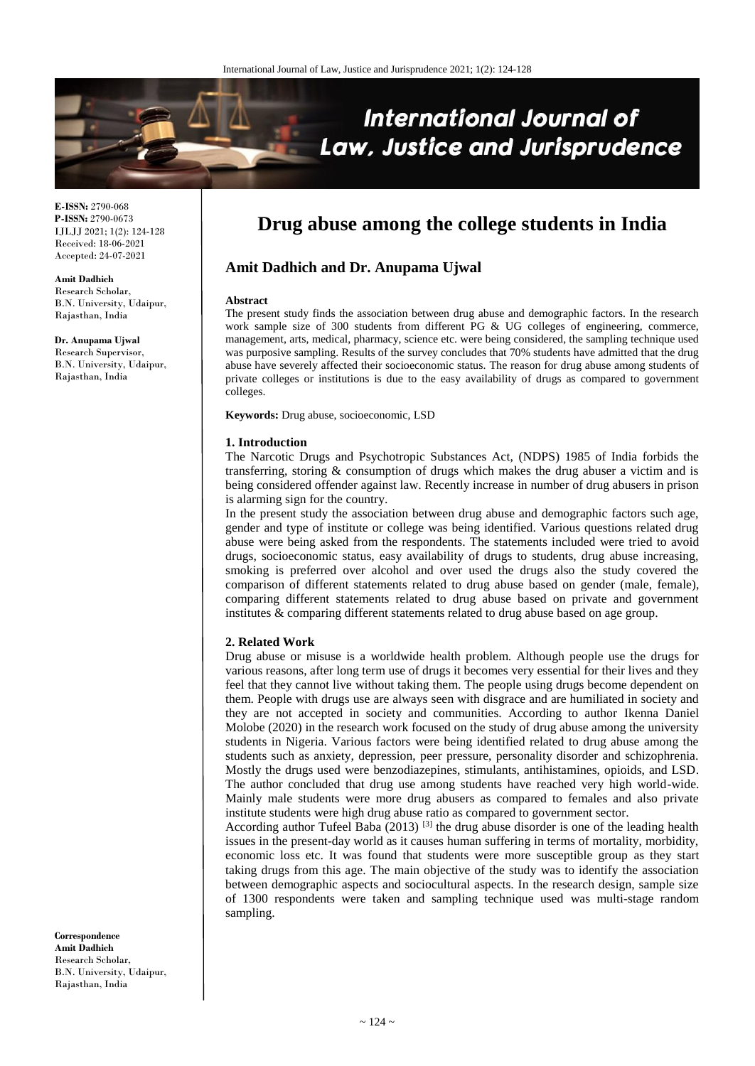

**E-ISSN:** 2790-068 **P-ISSN:** 2790-0673 IJLJJ 2021; 1(2): 124-128 Received: 18-06-2021 Accepted: 24-07-2021

#### **Amit Dadhich**

Research Scholar, B.N. University, Udaipur, Rajasthan, India

**Dr. Anupama Ujwal**

Research Supervisor, B.N. University, Udaipur, Rajasthan, India

**Drug abuse among the college students in India**

# **Amit Dadhich and Dr. Anupama Ujwal**

#### **Abstract**

The present study finds the association between drug abuse and demographic factors. In the research work sample size of 300 students from different PG & UG colleges of engineering, commerce, management, arts, medical, pharmacy, science etc. were being considered, the sampling technique used was purposive sampling. Results of the survey concludes that 70% students have admitted that the drug abuse have severely affected their socioeconomic status. The reason for drug abuse among students of private colleges or institutions is due to the easy availability of drugs as compared to government colleges.

**Keywords:** Drug abuse, socioeconomic, LSD

#### **1. Introduction**

The Narcotic Drugs and Psychotropic Substances Act, (NDPS) 1985 of India forbids the transferring, storing & consumption of drugs which makes the drug abuser a victim and is being considered offender against law. Recently increase in number of drug abusers in prison is alarming sign for the country.

In the present study the association between drug abuse and demographic factors such age, gender and type of institute or college was being identified. Various questions related drug abuse were being asked from the respondents. The statements included were tried to avoid drugs, socioeconomic status, easy availability of drugs to students, drug abuse increasing, smoking is preferred over alcohol and over used the drugs also the study covered the comparison of different statements related to drug abuse based on gender (male, female), comparing different statements related to drug abuse based on private and government institutes & comparing different statements related to drug abuse based on age group.

## **2. Related Work**

Drug abuse or misuse is a worldwide health problem. Although people use the drugs for various reasons, after long term use of drugs it becomes very essential for their lives and they feel that they cannot live without taking them. The people using drugs become dependent on them. People with drugs use are always seen with disgrace and are humiliated in society and they are not accepted in society and communities. According to author Ikenna Daniel Molobe (2020) in the research work focused on the study of drug abuse among the university students in Nigeria. Various factors were being identified related to drug abuse among the students such as anxiety, depression, peer pressure, personality disorder and schizophrenia. Mostly the drugs used were benzodiazepines, stimulants, antihistamines, opioids, and LSD. The author concluded that drug use among students have reached very high world-wide. Mainly male students were more drug abusers as compared to females and also private institute students were high drug abuse ratio as compared to government sector.

According author Tufeel Baba  $(2013)$ <sup>[3]</sup> the drug abuse disorder is one of the leading health issues in the present-day world as it causes human suffering in terms of mortality, morbidity, economic loss etc. It was found that students were more susceptible group as they start taking drugs from this age. The main objective of the study was to identify the association between demographic aspects and sociocultural aspects. In the research design, sample size of 1300 respondents were taken and sampling technique used was multi-stage random sampling.

**Correspondence Amit Dadhich** Research Scholar, B.N. University, Udaipur, Rajasthan, India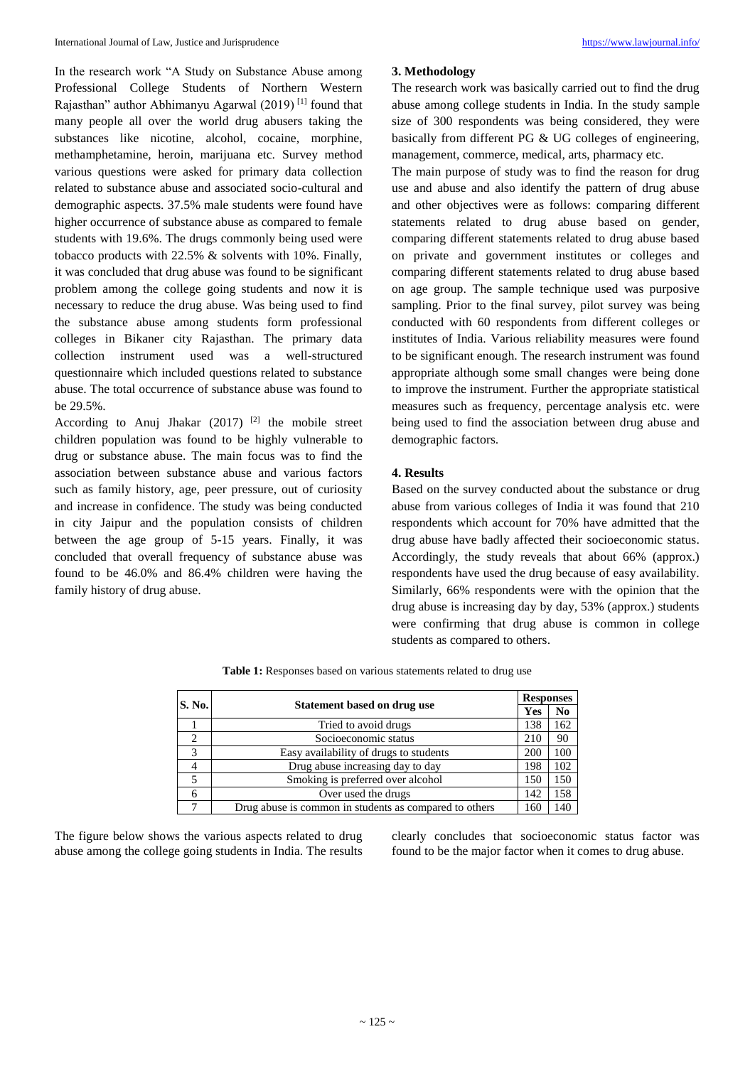In the research work "A Study on Substance Abuse among Professional College Students of Northern Western Rajasthan" author Abhimanyu Agarwal (2019)<sup>[1]</sup> found that many people all over the world drug abusers taking the substances like nicotine, alcohol, cocaine, morphine, methamphetamine, heroin, marijuana etc. Survey method various questions were asked for primary data collection related to substance abuse and associated socio-cultural and demographic aspects. 37.5% male students were found have higher occurrence of substance abuse as compared to female students with 19.6%. The drugs commonly being used were tobacco products with 22.5% & solvents with 10%. Finally, it was concluded that drug abuse was found to be significant problem among the college going students and now it is necessary to reduce the drug abuse. Was being used to find the substance abuse among students form professional colleges in Bikaner city Rajasthan. The primary data collection instrument used was a well-structured questionnaire which included questions related to substance abuse. The total occurrence of substance abuse was found to be 29.5%.

According to Anuj Jhakar  $(2017)$ <sup>[2]</sup> the mobile street children population was found to be highly vulnerable to drug or substance abuse. The main focus was to find the association between substance abuse and various factors such as family history, age, peer pressure, out of curiosity and increase in confidence. The study was being conducted in city Jaipur and the population consists of children between the age group of 5-15 years. Finally, it was concluded that overall frequency of substance abuse was found to be 46.0% and 86.4% children were having the family history of drug abuse.

# **3. Methodology**

The research work was basically carried out to find the drug abuse among college students in India. In the study sample size of 300 respondents was being considered, they were basically from different PG & UG colleges of engineering, management, commerce, medical, arts, pharmacy etc.

The main purpose of study was to find the reason for drug use and abuse and also identify the pattern of drug abuse and other objectives were as follows: comparing different statements related to drug abuse based on gender, comparing different statements related to drug abuse based on private and government institutes or colleges and comparing different statements related to drug abuse based on age group. The sample technique used was purposive sampling. Prior to the final survey, pilot survey was being conducted with 60 respondents from different colleges or institutes of India. Various reliability measures were found to be significant enough. The research instrument was found appropriate although some small changes were being done to improve the instrument. Further the appropriate statistical measures such as frequency, percentage analysis etc. were being used to find the association between drug abuse and demographic factors.

## **4. Results**

Based on the survey conducted about the substance or drug abuse from various colleges of India it was found that 210 respondents which account for 70% have admitted that the drug abuse have badly affected their socioeconomic status. Accordingly, the study reveals that about 66% (approx.) respondents have used the drug because of easy availability. Similarly, 66% respondents were with the opinion that the drug abuse is increasing day by day, 53% (approx.) students were confirming that drug abuse is common in college students as compared to others.

Table 1: Responses based on various statements related to drug use

| <b>S. No.</b> |                                                        |            | <b>Responses</b> |
|---------------|--------------------------------------------------------|------------|------------------|
|               | Statement based on drug use                            | <b>Yes</b> | N <sub>0</sub>   |
|               | Tried to avoid drugs                                   | 138        | 162              |
| ∍             | Socioeconomic status                                   | 210        | 90               |
| 3             | Easy availability of drugs to students                 | 200        | 100              |
|               | Drug abuse increasing day to day                       | 198        | 102              |
|               | Smoking is preferred over alcohol                      | 150        | 150              |
| 6             | Over used the drugs                                    | 142        | 158              |
|               | Drug abuse is common in students as compared to others | 160        | 140              |

The figure below shows the various aspects related to drug abuse among the college going students in India. The results clearly concludes that socioeconomic status factor was found to be the major factor when it comes to drug abuse.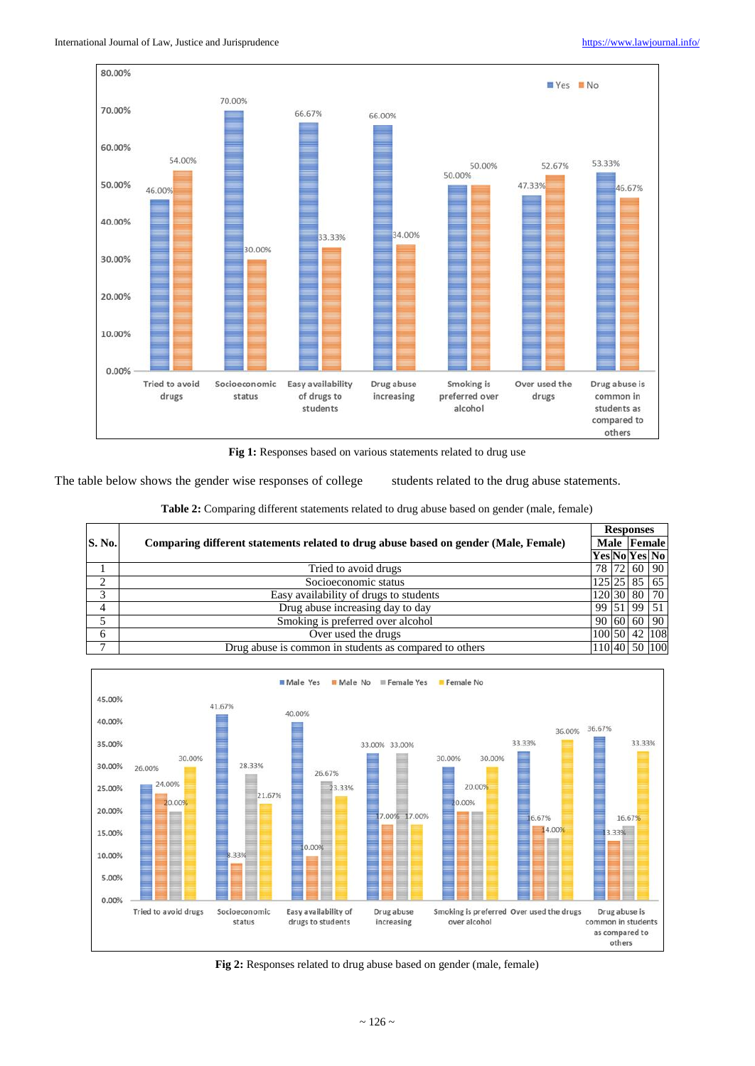

Fig 1: Responses based on various statements related to drug use

The table below shows the gender wise responses of college students related to the drug abuse statements.

|  |  |  | Table 2: Comparing different statements related to drug abuse based on gender (male, female) |  |
|--|--|--|----------------------------------------------------------------------------------------------|--|
|--|--|--|----------------------------------------------------------------------------------------------|--|

|               |                                                                                     |               | <b>Responses</b> |                 |               |  |
|---------------|-------------------------------------------------------------------------------------|---------------|------------------|-----------------|---------------|--|
| <b>S. No.</b> | Comparing different statements related to drug abuse based on gender (Male, Female) |               |                  | Male Female     |               |  |
|               |                                                                                     | Yes No Yes No |                  |                 |               |  |
|               | Tried to avoid drugs                                                                |               |                  | 78 72 60 90     |               |  |
| $\bigcap$     | Socioeconomic status                                                                |               |                  | $125$  25 85 65 |               |  |
| $\mathbf{c}$  | Easy availability of drugs to students                                              |               |                  | 120 30 80 70    |               |  |
| 4             | Drug abuse increasing day to day                                                    |               |                  | 99 51 99 51     |               |  |
|               | Smoking is preferred over alcohol                                                   |               |                  | 90 60 60 90     |               |  |
| 6             | Over used the drugs                                                                 |               |                  |                 | 100 50 42 108 |  |
| $\mathbf{r}$  | Drug abuse is common in students as compared to others                              |               |                  |                 | 110 40 50 100 |  |



**Fig 2:** Responses related to drug abuse based on gender (male, female)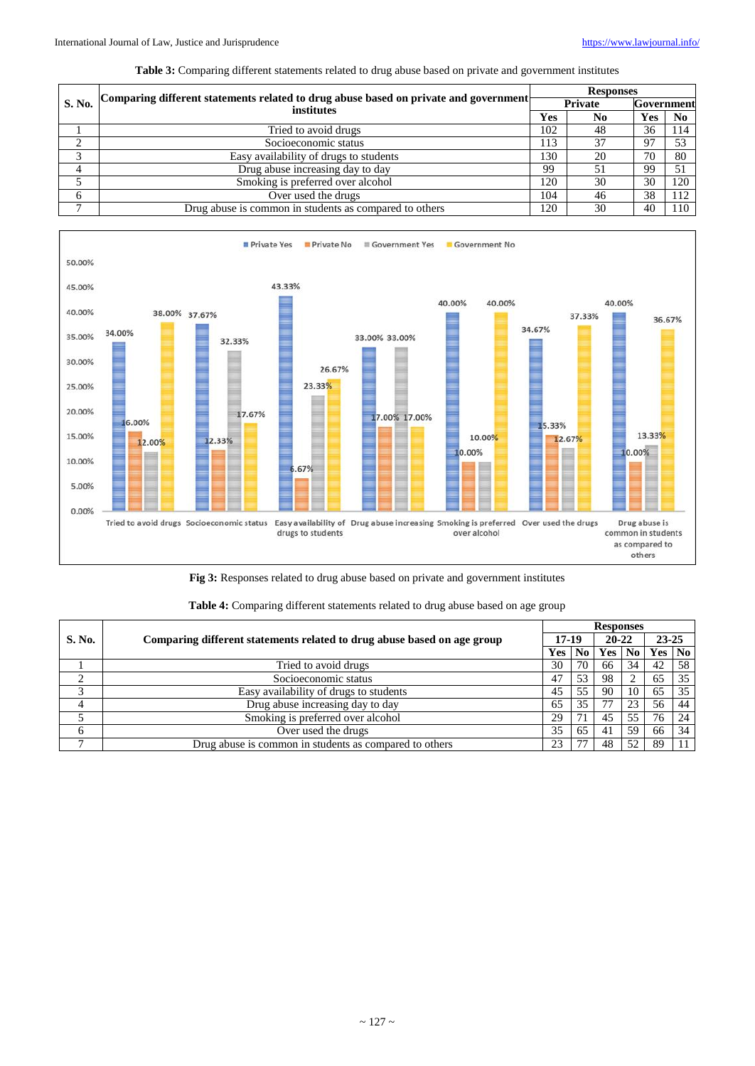#### **Table 3:** Comparing different statements related to drug abuse based on private and government institutes

| S. No.       | Comparing different statements related to drug abuse based on private and government<br>institutes | <b>Responses</b> |    |            |                |  |  |  |
|--------------|----------------------------------------------------------------------------------------------------|------------------|----|------------|----------------|--|--|--|
|              |                                                                                                    | Private          |    | Government |                |  |  |  |
|              |                                                                                                    | Yes              | No | Yes        | N <sub>0</sub> |  |  |  |
|              | Tried to avoid drugs                                                                               | 102              | 48 | 36         | 114            |  |  |  |
| $\bigcap$    | Socioeconomic status                                                                               | 113              | 37 | -97        | 53             |  |  |  |
| $\mathbf{c}$ | Easy availability of drugs to students                                                             | 130              | 20 | 70         | 80             |  |  |  |
|              | Drug abuse increasing day to day                                                                   | 99               | 51 | 99         | 51             |  |  |  |
|              | Smoking is preferred over alcohol                                                                  | 120              | 30 | 30         | 120            |  |  |  |
| 6            | Over used the drugs                                                                                | 104              | 46 | 38         | 112            |  |  |  |
| $\mathbf{r}$ | Drug abuse is common in students as compared to others                                             | 120              | 30 | 40         | 110            |  |  |  |



**Fig 3:** Responses related to drug abuse based on private and government institutes

|        | Comparing different statements related to drug abuse based on age group | <b>Responses</b> |                |           |                |           |    |  |  |
|--------|-------------------------------------------------------------------------|------------------|----------------|-----------|----------------|-----------|----|--|--|
| S. No. |                                                                         | $17-19$          |                | $20 - 22$ |                | $23 - 25$ |    |  |  |
|        |                                                                         | <b>Yes</b>       | N <sub>0</sub> | Yes       | N <sub>0</sub> | Yes       | No |  |  |
|        | Tried to avoid drugs                                                    | 30               | 70             | 66        | 34             | 42        | 58 |  |  |
|        | Socioeconomic status                                                    | 47               | 53             | 98        |                | 65        | 35 |  |  |
|        | Easy availability of drugs to students                                  | 45               | 55             | 90        | 10             | 65        | 35 |  |  |
|        | Drug abuse increasing day to day                                        | 65               | 35             | 77        | 23             | 56        | 44 |  |  |
|        | Smoking is preferred over alcohol                                       | 29               |                | 45        | 55             | 76        | 24 |  |  |
|        | Over used the drugs                                                     | 35               | 65             | 41        | 59             | 66        | 34 |  |  |
|        | Drug abuse is common in students as compared to others                  | 23               |                | 48        | 52             | 89        |    |  |  |

# **Table 4:** Comparing different statements related to drug abuse based on age group